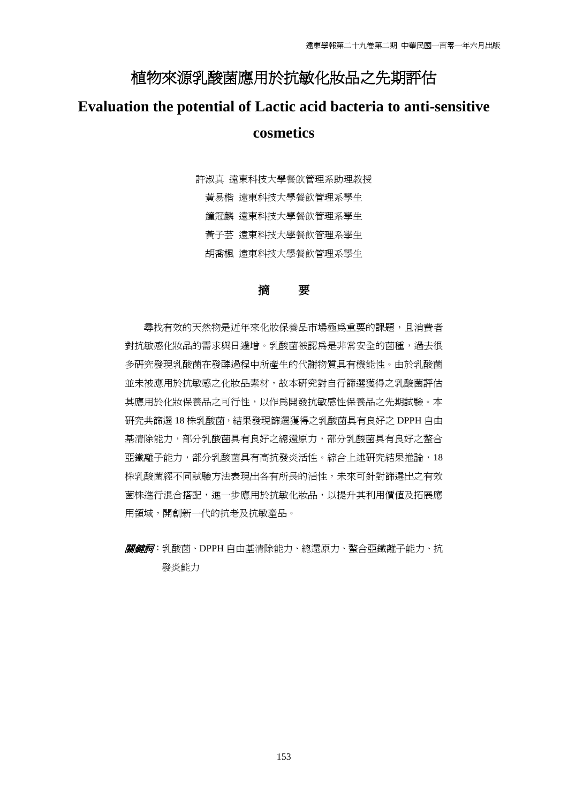# 植物來源乳酸菌應用於抗敏化妝品之先期評估

# **Evaluation the potential of Lactic acid bacteria to anti-sensitive cosmetics**

許淑真 遠東科技大學餐飲管理系助理教授 黃易楷 遠東科技大學餐飲管理系學生 鐘冠麟 遠東科技大學餐飲管理系學生 黃子芸 遠東科技大學餐飲管理系學生 胡喬楓 遠東科技大學餐飲管理系學生

## 摘要

尋找有效的天然物是近年來化妝保養品市場極為重要的課題,且消費者 對抗敏感化妝品的需求與日遽增。乳酸菌被認為是非常安全的菌種,過去很 多研究發現乳酸菌在發酵過程中所產生的代謝物質具有機能性。由於乳酸菌 並未被應用於抗敏感之化妝品素材,故本研究對自行篩選獲得之乳酸菌評估 其應用於化妝保養品之可行性,以作為開發抗敏感性保養品之先期試驗。本 研究共篩選 18 株乳酸菌,結果發現篩選獲得之乳酸菌具有良好之 DPPH 自由 基清除能力,部分乳酸菌具有良好之總還原力,部分乳酸菌具有良好之螯合 亞鐵離子能力,部分乳酸菌具有高抗發炎活性。綜合上述研究結果推論,18 株乳酸菌經不同試驗方法表現出各有所長的活性,未來可針對篩選出之有效 菌株進行混合搭配,進一步應用於抗敏化妝品,以提升其利用價值及拓展應 用領域,開創新一代的抗老及抗敏產品。

關鍵詞:乳酸菌、DPPH 自由基清除能力、總還原力、螯合亞鐵離子能力、抗 發炎能力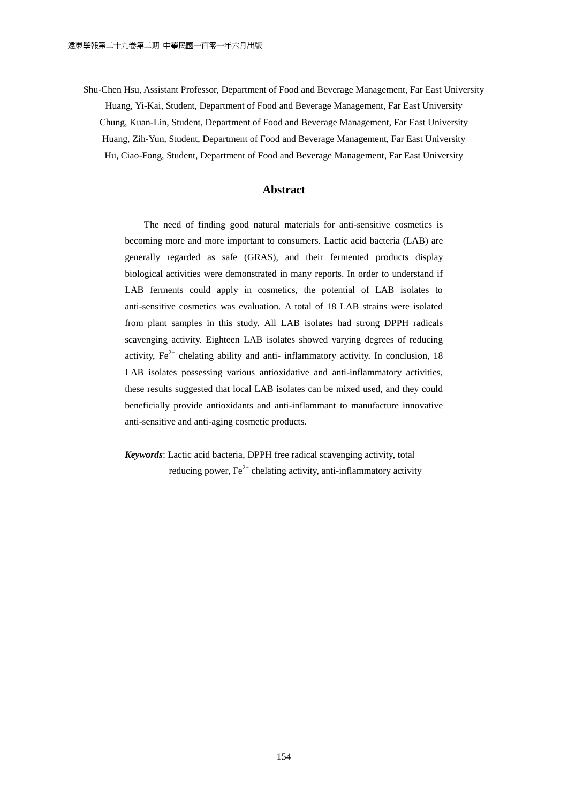Shu-Chen Hsu, Assistant Professor, Department of Food and Beverage Management, Far East University Huang, Yi-Kai, Student, Department of Food and Beverage Management, Far East University Chung, Kuan-Lin, Student, Department of Food and Beverage Management, Far East University Huang, Zih-Yun, Student, Department of Food and Beverage Management, Far East University Hu, Ciao-Fong, Student, Department of Food and Beverage Management, Far East University

### **Abstract**

The need of finding good natural materials for anti-sensitive cosmetics is becoming more and more important to consumers. Lactic acid bacteria (LAB) are generally regarded as safe (GRAS), and their fermented products display biological activities were demonstrated in many reports. In order to understand if LAB ferments could apply in cosmetics, the potential of LAB isolates to anti-sensitive cosmetics was evaluation. A total of 18 LAB strains were isolated from plant samples in this study. All LAB isolates had strong DPPH radicals scavenging activity. Eighteen LAB isolates showed varying degrees of reducing activity,  $Fe^{2+}$  chelating ability and anti- inflammatory activity. In conclusion, 18 LAB isolates possessing various antioxidative and anti-inflammatory activities, these results suggested that local LAB isolates can be mixed used, and they could beneficially provide antioxidants and anti-inflammant to manufacture innovative anti-sensitive and anti-aging cosmetic products.

*Keywords*: Lactic acid bacteria, DPPH free radical scavenging activity, total reducing power,  $Fe<sup>2+</sup>$  chelating activity, anti-inflammatory activity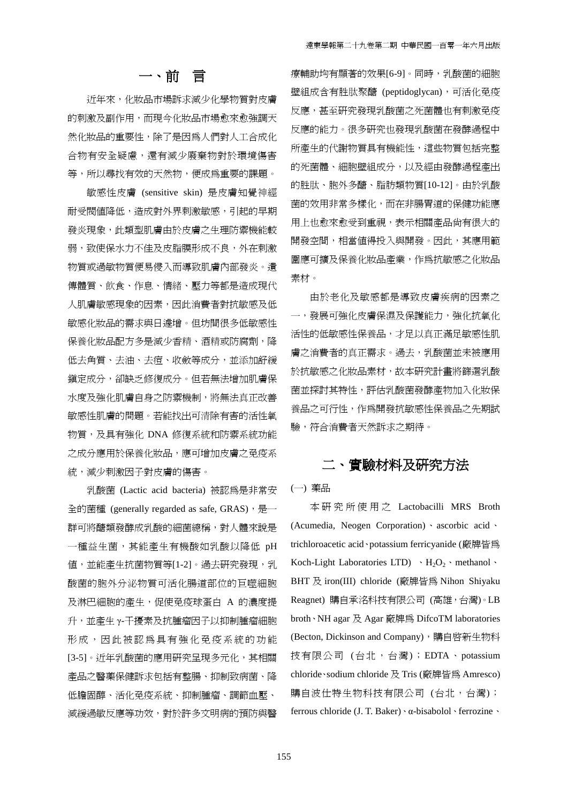## 一、前言

近年來,化妝品市場訴求減少化學物質對皮膚 的刺激及副作用,而現今化妝品市場愈來愈強調天 然化妝品的重要性,除了是因為人們對人工合成化 合物有安全疑慮,還有減少廢棄物對於環境傷害 等,所以尋找有效的天然物,便成為重要的課題。

敏感性皮膚 (sensitive skin) 是皮膚知覺神經 耐受閥值降低,造成對外界刺激敏感,引起的早期 發炎現象,此類型肌膚由於皮膚之生理防禦機能較 弱,致使保水力不佳及皮脂膜形成不良,外在刺激 物質或過敏物質便易侵入而導致肌膚內部發炎。遺 傳體質、飲食、作息、情緒、壓力等都是造成現代 人肌膚敏感現象的因素,因此消費者對抗敏感及低 敏感化妝品的需求與日遽增。但坊間很多低敏感性 保養化妝品配方多是減少香精、酒精或防腐劑,降 低去角質、去油、去痘、收斂等成分,並添加舒緩 鎮定成分,卻缺乏修復成分。但若無法增加肌膚保 水度及強化肌膚自身之防禦機制,將無法真正改善 敏感性肌膚的問題。若能找出可清除有害的活性氧 物質,及具有強化 DNA 修復系統和防禦系統功能 之成分應用於保養化妝品,應可增加皮膚之免疫系 統,減少刺激因子對皮膚的傷害。

乳酸菌 (Lactic acid bacteria) 被認為是非常安 全的菌種 (generally regarded as safe, GRAS), 是一 群可將醣類發酵成乳酸的細菌總稱,對人體來說是 一種益生菌,其能產生有機酸如乳酸以降低 pH 値,並能產生抗菌物質等[1-2]。過去研究發現,乳 酸菌的胞外分泌物質可活化腸道部位的巨噬細胞 及淋巴細胞的產生,促使免疫球蛋白 A 的濃度提 升,並產生 γ-干擾素及抗腫瘤因子以抑制腫瘤細胞 形成,因此被認為具有強化免疫系統的功能 [3-5]。近年乳酸菌的應用研究呈現多元化,其相關 產品之醫藥保健訴求包括有整腸、抑制致病菌、降 低膽固醇、活化免疫系統、抑制腫瘤、調節血壓、 減緩過敏反應等功效,對於許多文明病的預防與醫 療輔助均有顯著的效果[6-9]。同時,乳酸菌的細胞 壁組成含有胜肽聚醣 (peptidoglycan),可活化免疫 反應,甚至研究發現乳酸菌之死菌體也有刺激免疫 反應的能力。很多研究也發現乳酸菌在發酵過程中 所產生的代謝物質具有機能性,這些物質包括完整 的死菌體、細胞壁組成分,以及經由發酵過程產出 的胜肽、胞外多醣、脂肪類物質[10-12]。由於乳酸 菌的效用非常多樣化,而在非腸胃道的保健功能應 用上也愈來愈受到重視,表示相關產品尚有很大的 開發空間,相當值得投入與開發。因此,其應用範 圍應可擴及保養化妝品產業,作為抗敏感之化妝品 素材。

由於老化及敏感都是導致皮膚疾病的因素之 一,發展可強化皮膚保濕及保護能力,強化抗氧化 活性的低敏感性保養品,才足以真正滿足敏感性肌 膚之消費者的真正需求。過去,乳酸菌並未被應用 於抗敏感之化妝品素材,故本研究計畫將篩選乳酸 菌並探討其特性,評估乳酸菌發酵產物加入化妝保 養品之可行性,作為開發抗敏感性保養品之先期試 驗,符合消費者天然訴求之期待。

# 二、實驗材料及研究方法

(一) 藥品

本 研 究 所 使 用 之 Lactobacilli MRS Broth (Acumedia, Neogen Corporation)、ascorbic acid、 trichloroacetic acid、potassium ferricyanide (廠牌皆為 Koch-Light Laboratories LTD)  $\cdot$  H<sub>2</sub>O<sub>2</sub>  $\cdot$  methanol  $\cdot$ BHT 及 iron(III) chloride (廠牌皆為 Nihon Shiyaku Reagnet) 購自承洺科技有限公司 (高雄,台灣)。LB broth、NH agar 及 Agar 廠牌為 DifcoTM laboratories (Becton, Dickinson and Company),購自啓新生物科 技有限公司 (台北,台灣); EDTA、potassium chloride、sodium chloride 及 Tris (廠牌皆為 Amresco) 購自波仕特生物科技有限公司 (台北,台灣); ferrous chloride (J. T. Baker)、α-bisabolol、ferrozine、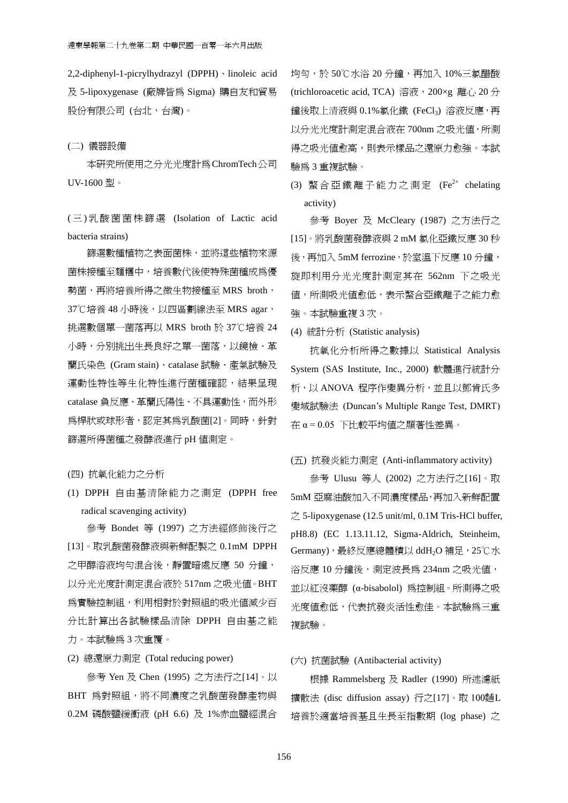2,2-diphenyl-1-picrylhydrazyl (DPPH)、linoleic acid 及 5-lipoxygenase (廠牌皆為 Sigma) 購自友和貿易 股份有限公司(台北,台灣)。

### (二) 儀器設備

本研究所使用之分光光度計為ChromTech公司 UV-1600 型。

( 三 ) 乳酸菌菌株篩選 (Isolation of Lactic acid bacteria strains)

篩選數種植物之表面菌株,並將這些植物來源 菌株接種至麵糰中,培養數代後使特殊菌種成為優 勢菌,再將培養所得之微生物接種至 MRS broth, 37℃培養 48 小時後,以四區劃線法至 MRS agar, 挑選數個單一菌落再以 MRS broth 於 37℃培養 24 小時,分別挑出生長良好之單一菌落,以鏡檢、革 蘭氏染色 (Gram stain)、catalase 試驗、產氣試驗及 運動性特性等生化特性進行菌種確認,結果呈現 catalase 負反應、革蘭氏陽性、不具運動性,而外形 為桿狀或球形者,認定其為乳酸菌[2]。同時,針對 篩選所得菌種之發酵液進行 pH 值測定。

(四) 抗氧化能力之分析

(1) DPPH 自由基清除能力之測定 (DPPH free radical scavenging activity)

 參考 Bondet 等 (1997) 之方法經修飾後行之 [13]。取乳酸菌發酵液與新鮮配製之 0.1mM DPPH 之甲醇溶液均勻混合後,靜置暗處反應 50 分鐘, 以分光光度計測定混合液於 517nm 之吸光值。BHT **為實驗控制組,利用相對於對照組的吸光值減少百** 分比計算出各試驗樣品清除 DPPH 自由基之能 力。本試驗為 3 次重覆。

(2) 總還原力測定 (Total reducing power)

參考 Yen 及 Chen (1995) 之方法行之[14]。以 BHT 為對照組,將不同濃度之乳酸菌發酵產物與 0.2M 磷酸鹽緩衝液 (pH 6.6) 及 1%赤血鹽經混合 均勻,於 50℃水浴 20分鐘,再加入 10%三氯醋酸 (trichloroacetic acid, TCA) 溶液, 200×g 離心 20分 鐘後取上清液與 0.1%氯化鐵 (FeCl3) 溶液反應,再 以分光光度計測定混合液在 700nm 之吸光值,所測 得之吸光值愈高,則表示樣品之還原力愈強。本試 驗為 3 重複試驗。

(3) 螯合亞鐵離子能力之測定  $(Fe^{2+}$  chelating activity)

參考 Boyer 及 McCleary (1987) 之方法行之 [15]。將乳酸菌發酵液與 2 mM 氯化亞鐵反應 30 秒 後,再加入 5mM ferrozine,於室溫下反應 10 分鐘, 旋即利用分光光度計測定其在 562nm 下之吸光 值,所測吸光值愈低,表示螯合亞鐵離子之能力愈 強。本試驗重複 3 次。

(4) 統計分析 (Statistic analysis)

抗氧化分析所得之數據以 Statistical Analysis System (SAS Institute, Inc., 2000) 軟體進行統計分 析,以 ANOVA 程序作變異分析,並且以鄧肯氏多 變域試驗法 (Duncan's Multiple Range Test, DMRT) 在 α = 0.05 下比較平均值之顯著性差異。

#### (五) 抗發炎能力測定 (Anti-inflammatory activity)

參考 Ulusu 等人 (2002) 之方法行之[16]。取 5mM 亞麻油酸加入不同濃度樣品,再加入新鮮配置 之 5-lipoxygenase (12.5 unit/ml, 0.1M Tris-HCl buffer, pH8.8) (EC 1.13.11.12, Sigma-Aldrich, Steinheim, Germany), 最終反應總體積以 ddH2O 補足, 25℃水 浴反應 10 分鐘後, 測定波長為 234nm 之吸光値, 並以紅沒藥醇 (α-bisabolol) 為控制組。所測得之吸 光度值愈低,代表抗發炎活性愈佳。本試驗為三重 複試驗。

### (六) 抗菌試驗 (Antibacterial activity)

根據 Rammelsberg 及 Radler (1990) 所述濾紙 擴散法 (disc diffusion assay) 行之[17]。取 培養於適當培養基且生長至指數期 (log phase) 之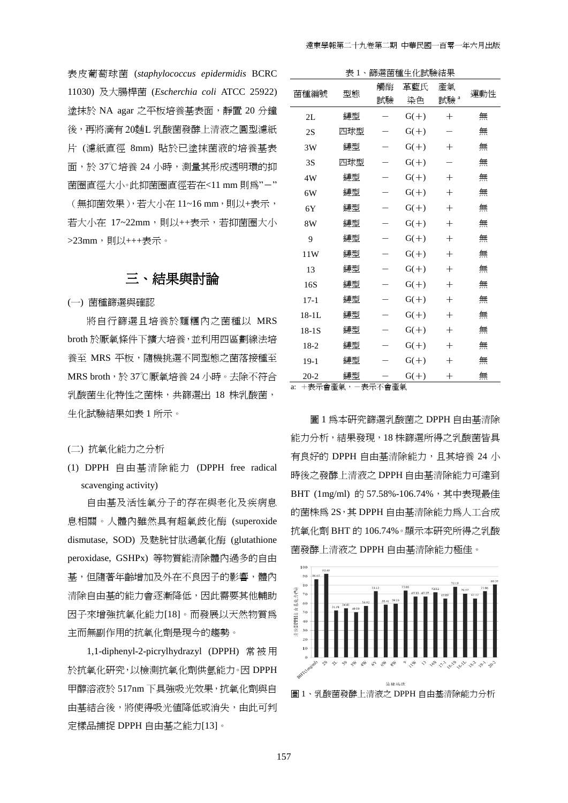表皮葡萄球菌 (*staphylococcus epidermidis* BCRC 11030) 及大腸桿菌 (*Escherchia coli* ATCC 25922) 塗抹於 NA agar 之平板培養基表面,靜置 20 分鐘 後,再將滴有 20麵L 乳酸菌發酵上清液之圓型濾紙 片 (濾紙直徑 8mm) 貼於已塗抹菌液的培養基表 面,於 37℃培養 24 小時,測量其形成透明環的抑 菌圈直徑大小。此抑菌圈直徑若在<11 mm 則爲"-" (無抑菌效果), 若大小在 11~16 mm, 則以+表示, 若大小在 17~22mm,則以++表示,若抑菌圈大小 >23mm,則以+++表示。

## 三、結果與討論

(一) 菌種篩選與確認

將自行篩選且培養於麵糰內之菌種以 MRS broth 於厭氧條件下擴大培養,並利用四區劃線法培 養至 MRS 平板,隨機挑選不同型態之菌落接種至 MRS broth,於 37℃厭氧培養 24 小時。去除不符合 乳酸菌生化特性之菌株,共篩選出 18 株乳酸菌, 生化試驗結果如表 1 所示。

(二) 抗氧化能力之分析

(1) DPPH 自由基清除能力 (DPPH free radical scavenging activity)

自由基及活性氧分子的存在與老化及疾病息 息相關。人體內雖然具有超氧歧化酶 (superoxide dismutase, SOD) 及麩胱甘肽過氧化酶 (glutathione peroxidase, GSHPx) 等物質能清除體內過多的自由 基,但隨著年齡增加及外在不良因子的影響,體內 清除自由基的能力會逐漸降低,因此需要其他輔助 因子來增強抗氧化能力[18]。而發展以天然物質為 主而無副作用的抗氧化劑是現今的趨勢。

1,1-diphenyl-2-picrylhydrazyl (DPPH) 常被用 於抗氧化研究,以檢測抗氧化劑供氫能力。因 DPPH 甲醇溶液於 517nm 下具強吸光效果,抗氧化劑與自 由基結合後,將使得吸光值降低或消失,由此可判 定樣品捕捉 DPPH 自由基之能力[13]。

| 篩選菌種生化試驗結果<br>表1、      |     |          |           |                       |     |
|------------------------|-----|----------|-----------|-----------------------|-----|
| 菌種編號                   | 型態  | 觸酶<br>試驗 | 革藍氏<br>染色 | 產氣<br>試驗 <sup>。</sup> | 運動性 |
| 2L                     | 鏈型  |          | $G(+)$    | $^{+}$                | 無   |
| 2S                     | 四球型 |          | $G(+)$    |                       | 無   |
| 3W                     | 鏈型  |          | $G(+)$    | $^{+}$                | 無   |
| 3S                     | 四球型 |          | $G(+)$    |                       | 無   |
| 4W                     | 鏈型  |          | $G(+)$    | $^{+}$                | 無   |
| 6W                     | 鏈型  |          | $G(+)$    | $^{+}$                | 無   |
| 6Y                     | 鏈型  |          | $G(+)$    | $^{+}$                | 無   |
| 8W                     | 鏈型  |          | $G(+)$    | $^{+}$                | 無   |
| 9                      | 鏈型  |          | $G(+)$    | $^{+}$                | 無   |
| 11W                    | 鏈型  |          | $G(+)$    | $^{+}$                | 無   |
| 13                     | 鏈型  |          | $G(+)$    | $^{+}$                | 無   |
| 16S                    | 鏈型  |          | $G(+)$    | $^{+}$                | 無   |
| $17 - 1$               | 鏈型  |          | $G(+)$    | $^{+}$                | 無   |
| $18-1L$                | 鏈型  |          | $G(+)$    | $^{+}$                | 無   |
| $18-1S$                | 鏈型  |          | $G(+)$    | $^{+}$                | 無   |
| $18-2$                 | 鏈型  |          | $G(+)$    | $^{+}$                | 無   |
| $19-1$                 | 鏈型  |          | $G(+)$    | $^+$                  | 無   |
| $20 - 2$<br>+ 韦元命尧気, - | 鏈型  | - 韦元不命斋侍 | $G(+)$    | $^{+}$                | 無   |

a: +表示會產氣,-表示不會產氣

圖 1 為本研究篩選乳酸菌之 DPPH 自由基清除 能力分析,結果發現,18 株篩選所得之乳酸菌皆具 有良好的 DPPH 自由基清除能力,且其培養 24 小 時後之發酵上清液之 DPPH 自由基清除能力可達到 BHT (1mg/ml) 的 57.58%-106.74%, 其中表現最佳 的菌株為 2S,其 DPPH 自由基清除能力為人工合成 抗氧化劑 BHT 的 106.74%。顯示本研究所得之乳酸 菌發酵上清液之 DPPH 自由基清除能力極佳。





157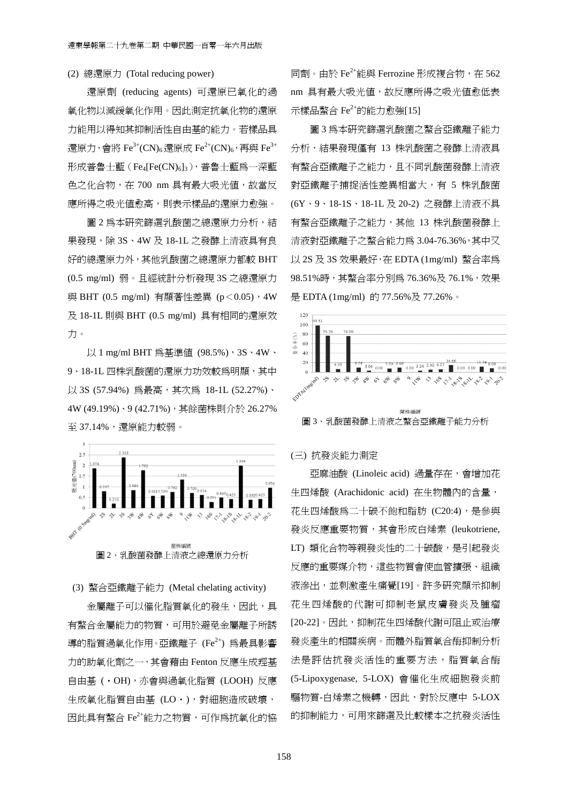## (2) 總還原力 (Total reducing power)

還原劑 (reducing agents) 可還原已氧化的過 氧化物以減緩氧化作用。因此測定抗氧化物的還原 力能用以得知其抑制活性自由基的能力。若樣品具 還原力,會將 Fe<sup>3+</sup>(CN)<sub>6</sub> 還原成 Fe<sup>2+</sup>(CN)<sub>6</sub>,再與 Fe<sup>3+</sup>  $E$ 成普魯士藍 $(Fe<sub>4</sub>[Fe(CN)<sub>6</sub>]$ <sub>3</sub>),普魯士藍爲一深藍 色之化合物, 在 700 nm 具有最大吸光值, 故當反 應所得之吸光値愈高,則表示樣品的還原力愈強。

圖 2 為本研究篩選乳酸菌之總還原力分析,結 果發現,除 3S、4W 及 18-1L 之發酵上清液具有良 好的總還原力外,其他乳酸菌之總還原力都較 BHT (0.5 mg/ml) 弱。且經統計分析發現 3S 之總還原力 與 BHT (0.5 mg/ml) 有顯著性差異 (p<0.05),4W 及 18-1L 則與 BHT (0.5 mg/ml) 具有相同的還原效 力。

以 1 mg/ml BHT 為基準値 (98.5%), 3S、4W、 9、18-1L 四株乳酸菌的還原力功效較為明顯,其中 以 3S (57.94%) 為最高,其次為 18-1L (52.27%)、 4W (49.19%)、9 (42.71%),其餘菌株則介於 26.27% 至 37.14%,還原能力較弱。



### (3) 螯合亞鐵離子能力 (Metal chelating activity)

金屬離子可以催化脂質氧化的發生,因此,具 有螯合金屬能力的物質,可用於避免金屬離子所誘 導的脂質過氧化作用。亞鐵離子 (Fe<sup>2+</sup>) 為最具影響 力的助氧化劑之一,其會藉由 Fenton 反應生成羥基 自由基 (・OH),亦會與過氧化脂質 (LOOH) 反應 生成氧化脂質自由基 (LO・),對細胞造成破壞, 因此具有螯合 Fe<sup>2+</sup>能力之物質,可作為抗氧化的協 同劑。由於 Fe<sup>2+</sup>能與 Ferrozine 形成複合物, 在 562 nm 具有最大吸光值,故反應所得之吸光值愈低表 示樣品螯合 $Fe^{2+}$ 的能力愈強 $[15]$ 

圖 3 為本研究篩選乳酸菌之螯合亞鐵離子能力 分析,結果發現僅有 13 株乳酸菌之發酵上清液具 有螯合亞鐵離子之能力,且不同乳酸菌發酵上清液 對亞鐵離子捕捉活性差異相當大,有 5 株乳酸菌 (6Y、9、18-1S、18-1L 及 20-2) 之發酵上清液不具 有螯合亞鐵離子之能力,其他 13 株乳酸菌發酵上 清液對亞鐵離子之螯合能力為 3.04-76.36%,其中又 以 2S 及 3S 效果最好,在 EDTA (1mg/ml) 螯合率為 98.51%時,其螯合率分別為 76.36%及 76.1%,效果 是 EDTA (1mg/ml) 的 77.56%及 77.26%。



## (三) 抗發炎能力測定

亞麻油酸 (Linoleic acid) 過量存在,會增加花 生四烯酸 (Arachidonic acid) 在生物體內的含量, 花生四烯酸為二十碳不飽和脂肪 (C20:4), 是參與 發炎反應重要物質,其會形成白烯素 (leukotriene, LT) 類化合物等親發炎性的二十碳酸, 是引起發炎 反應的重要媒介物,這些物質會使血管擴張、組織 液滲出,並刺激產生痛覺[19]。許多研究顯示抑制 花生四烯酸的代謝可抑制老鼠皮膚發炎及腫瘤 [20-22]。因此,抑制花生四烯酸代謝可阻止或治療 發炎產生的相關疾病。而體外脂質氧合酶抑制分析 法是評估抗發炎活性的重要方法,脂質氧合酶 (5-Lipoxygenase, 5-LOX) 會催化生成細胞發炎前 驅物質-白烯素之機轉,因此,對於反應中 5-LOX 的抑制能力,可用來篩選及比較樣本之抗發炎活性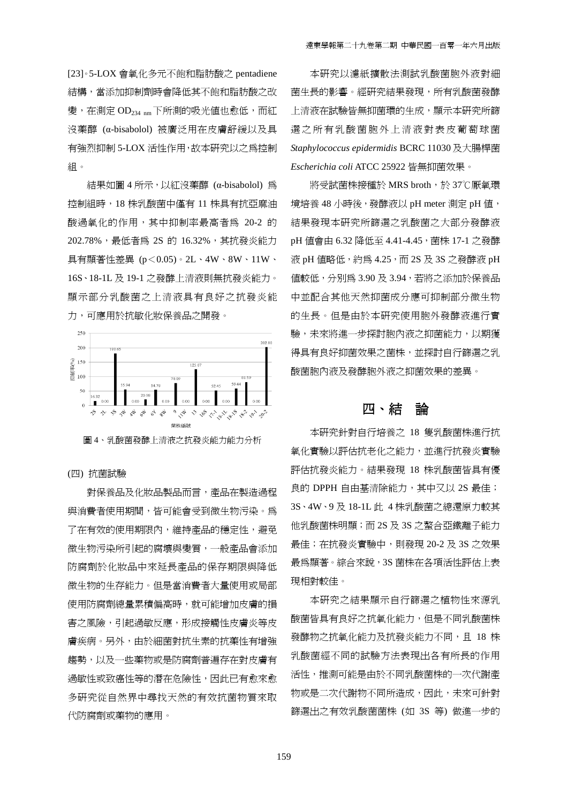[23]。5-LOX 會氧化多元不飽和脂肪酸之 pentadiene 結構,當添加抑制劑時會降低其不飽和脂肪酸之改 變,在測定 OD234 nm 下所測的吸光值也愈低,而紅 沒藥醇 (α-bisabolol) 被廣泛用在皮膚舒緩以及具 有強烈抑制 5-LOX 活性作用,故本研究以之為控制 組。

結果如圖 4 所示,以紅沒藥醇 (α-bisabolol) 為 控制組時,18 株乳酸菌中僅有 11 株具有抗亞麻油 酸過氧化的作用,其中抑制率最高者為 20-2 的 202.78%,最低者為 2S 的 16.32%,其抗發炎能力 具有顯著性差異 (p<0.05)。2L、4W、8W、11W、 16S、18-1L 及 19-1 之發酵上清液則無抗發炎能力。 顯示部分乳酸菌之上清液具有良好之抗發炎能 力,可應用於抗敏化妝保養品之開發。



## (四) 抗菌試驗

對保養品及化妝品製品而言,產品在製造過程 與消費者使用期間,皆可能會受到微生物污染。為 了在有效的使用期限內,維持產品的穩定性,避免 微生物污染所引起的腐壞與變質,一般產品會添加 防腐劑於化妝品中來延長產品的保存期限與降低 微生物的生存能力。但是當消費者大量使用或局部 使用防腐劑總量累積偏高時,就可能增加皮膚的損 害之風險,引起過敏反應,形成接觸性皮膚炎等皮 膚疾病。另外,由於細菌對抗生素的抗藥性有增強 趨勢,以及一些藥物或是防腐劑普遍存在對皮膚有 過敏性或致癌性等的潛在危險性,因此已有愈來愈 多研究從自然界中尋找天然的有效抗菌物質來取 代防腐劑或藥物的應用。

本研究以濾紙擴散法測試乳酸菌胞外液對細 菌生長的影響。經研究結果發現,所有乳酸菌發酵 上清液在試驗皆無抑菌環的生成,顯示本研究所篩 選之所有乳酸菌胞外上清液對表皮葡萄球菌 *Staphylococcus epidermidis* BCRC 11030 及大腸桿菌 *Escherichia coli* ATCC 25922 皆無抑菌效果。

將受試菌株接種於 MRS broth, 於 37℃厭氧環 境培養 48 小時後,發酵液以 pH meter 測定 pH 值, 結果發現本研究所篩選之乳酸菌之大部分發酵液 pH 值會由 6.32 降低至 4.41-4.45, 菌株 17-1 之發酵 液 pH 值略低, 約為 4.25, 而 2S 及 3S 之發酵液 pH 值較低,分別為 3.90 及 3.94,若將之添加於保養品 中並配合其他天然抑菌成分應可抑制部分微生物 的生長。但是由於本研究使用胞外發酵液進行實 驗,未來將進一步探討胞內液之抑菌能力,以期獲 得具有良好抑菌效果之菌株,並探討自行篩選之乳 酸菌胞內液及發酵胞外液之抑菌效果的差異。

## 四、結論

本研究針對自行培養之 18 隻乳酸菌株進行抗 氧化實驗以評估抗老化之能力,並進行抗發炎實驗 評估抗發炎能力。結果發現 18 株乳酸菌皆具有優 良的 DPPH 自由基清除能力, 其中又以 2S 最佳; 3S、4W、9 及 18-1L 此 4 株乳酸菌之總還原力較其 他乳酸菌株明顯;而 2S 及 3S 之螯合亞鐵離子能力 最佳;在抗發炎實驗中,則發現 20-2 及 3S 之效果 最為顯著。綜合來說,3S 菌株在各項活性評估上表 現相對較佳。

本研究之結果顯示自行篩選之植物性來源乳 酸菌皆具有良好之抗氧化能力,但是不同乳酸菌株 發酵物之抗氧化能力及抗發炎能力不同,且 18 株 乳酸菌經不同的試驗方法表現出各有所長的作用 活性,推測可能是由於不同乳酸菌株的一次代謝產 物或是二次代謝物不同所造成,因此,未來可針對 篩選出之有效乳酸菌菌株 (如 3S 等) 做進一步的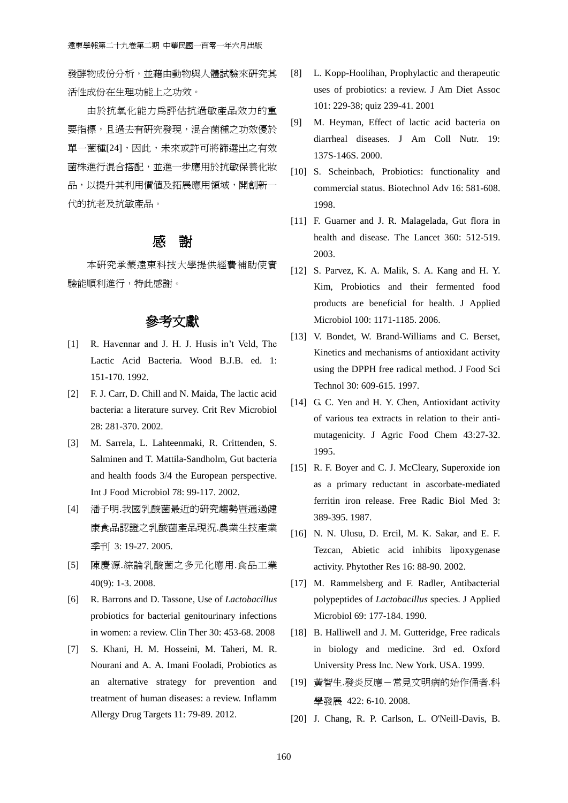發酵物成份分析,並藉由動物與人體試驗來研究其 活性成份在生理功能上之功效。

由於抗氧化能力為評估抗過敏產品效力的重 要指標,且過去有研究發現,混合菌種之功效優於 單一菌種[24],因此,未來或許可將篩選出之有效 菌株進行混合搭配,並進一步應用於抗敏保養化妝 品,以提升其利用價值及拓展應用領域,開創新一 代的抗老及抗敏產品。

## 感謝

 本研究承蒙遠東科技大學提供經費補助使實 驗能順利進行,特此感謝。

## 參考文獻

- [1] R. Havennar and J. H. J. Husis in't Veld, The Lactic Acid Bacteria. Wood B.J.B. ed. 1: 151-170. 1992.
- [2] F. J. Carr, D. Chill and N. Maida, The lactic acid bacteria: a literature survey. Crit Rev Microbiol 28: 281-370. 2002.
- [3] M. Sarrela, L. Lahteenmaki, R. Crittenden, S. Salminen and T. Mattila-Sandholm, Gut bacteria and health foods 3/4 the European perspective. Int J Food Microbiol 78: 99-117. 2002.
- [4] 潘子明.我國乳酸菌最近的研究趨勢暨通過健 康食品認證之乳酸菌產品現況.農業生技產業 季刊 3: 19-27. 2005.
- [5] 陳慶源.綜論乳酸菌之多元化應用.食品工業 40(9): 1-3. 2008.
- [6] R. Barrons and D. Tassone, Use of *Lactobacillus* probiotics for bacterial genitourinary infections in women: a review. Clin Ther 30: 453-68. 2008
- [7] S. Khani, H. M. Hosseini, M. Taheri, M. R. Nourani and A. A. Imani Fooladi, Probiotics as an alternative strategy for prevention and treatment of human diseases: a review. Inflamm Allergy Drug Targets 11: 79-89. 2012.
- [8] L. Kopp-Hoolihan, Prophylactic and therapeutic uses of probiotics: a review. J Am Diet Assoc 101: 229-38; quiz 239-41. 2001
- [9] M. Heyman, Effect of lactic acid bacteria on diarrheal diseases. J Am Coll Nutr. 19: 137S-146S. 2000.
- [10] S. Scheinbach, Probiotics: functionality and commercial status. Biotechnol Adv 16: 581-608. 1998.
- [11] F. Guarner and J. R. Malagelada, Gut flora in health and disease. The Lancet 360: 512-519. 2003.
- [12] S. Parvez, K. A. Malik, S. A. Kang and H. Y. Kim, Probiotics and their fermented food products are beneficial for health. J Applied Microbiol 100: 1171-1185. 2006.
- [13] V. Bondet, W. Brand-Williams and C. Berset, Kinetics and mechanisms of antioxidant activity using the DPPH free radical method. J Food Sci Technol 30: 609-615. 1997.
- [14] G. C. Yen and H. Y. Chen, Antioxidant activity of various tea extracts in relation to their antimutagenicity. J Agric Food Chem 43:27-32. 1995.
- [15] R. F. Boyer and C. J. McCleary, Superoxide ion as a primary reductant in ascorbate-mediated ferritin iron release. Free Radic Biol Med 3: 389-395. 1987.
- [16] N. N. Ulusu, D. Ercil, M. K. Sakar, and E. F. Tezcan, Abietic acid inhibits lipoxygenase activity. Phytother Res 16: 88-90. 2002.
- [17] M. Rammelsberg and F. Radler, Antibacterial polypeptides of *Lactobacillus* species. J Applied Microbiol 69: 177-184. 1990.
- [18] B. Halliwell and J. M. Gutteridge, Free radicals in biology and medicine. 3rd ed. Oxford University Press Inc. New York. USA. 1999.
- [19] 黃智生.發炎反應-常見文明病的始作俑者.科 學發展 422: 6-10. 2008.
- [20] J. Chang, R. P. Carlson, L. O'Neill-Davis, B.